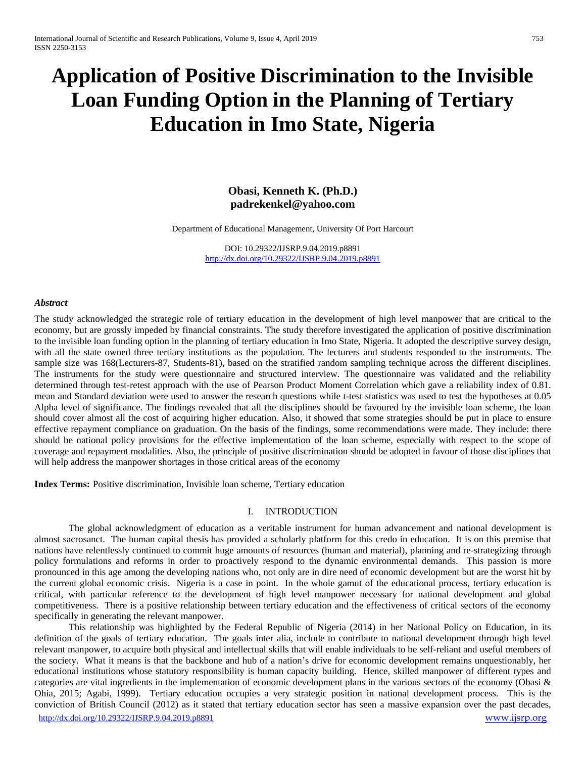# **Application of Positive Discrimination to the Invisible Loan Funding Option in the Planning of Tertiary Education in Imo State, Nigeria**

## **Obasi, Kenneth K. (Ph.D.) padrekenkel@yahoo.com**

Department of Educational Management, University Of Port Harcourt

DOI: 10.29322/IJSRP.9.04.2019.p8891 [http://dx.doi.org/10.29322/IJSRP.9.04.2019.p8891](http://dx.doi.org/10.29322/IJSRP.9.03.2019.p8891)

#### *Abstract*

The study acknowledged the strategic role of tertiary education in the development of high level manpower that are critical to the economy, but are grossly impeded by financial constraints. The study therefore investigated the application of positive discrimination to the invisible loan funding option in the planning of tertiary education in Imo State, Nigeria. It adopted the descriptive survey design, with all the state owned three tertiary institutions as the population. The lecturers and students responded to the instruments. The sample size was 168(Lecturers-87, Students-81), based on the stratified random sampling technique across the different disciplines. The instruments for the study were questionnaire and structured interview. The questionnaire was validated and the reliability determined through test-retest approach with the use of Pearson Product Moment Correlation which gave a reliability index of 0.81. mean and Standard deviation were used to answer the research questions while t-test statistics was used to test the hypotheses at 0.05 Alpha level of significance. The findings revealed that all the disciplines should be favoured by the invisible loan scheme, the loan should cover almost all the cost of acquiring higher education. Also, it showed that some strategies should be put in place to ensure effective repayment compliance on graduation. On the basis of the findings, some recommendations were made. They include: there should be national policy provisions for the effective implementation of the loan scheme, especially with respect to the scope of coverage and repayment modalities. Also, the principle of positive discrimination should be adopted in favour of those disciplines that will help address the manpower shortages in those critical areas of the economy

**Index Terms:** Positive discrimination, Invisible loan scheme, Tertiary education

#### I. INTRODUCTION

The global acknowledgment of education as a veritable instrument for human advancement and national development is almost sacrosanct. The human capital thesis has provided a scholarly platform for this credo in education. It is on this premise that nations have relentlessly continued to commit huge amounts of resources (human and material), planning and re-strategizing through policy formulations and reforms in order to proactively respond to the dynamic environmental demands. This passion is more pronounced in this age among the developing nations who, not only are in dire need of economic development but are the worst hit by the current global economic crisis. Nigeria is a case in point. In the whole gamut of the educational process, tertiary education is critical, with particular reference to the development of high level manpower necessary for national development and global competitiveness. There is a positive relationship between tertiary education and the effectiveness of critical sectors of the economy specifically in generating the relevant manpower.

[http://dx.doi.org/10.29322/IJSRP.9.04.2019.p8891](http://dx.doi.org/10.29322/IJSRP.9.03.2019.p8891) [www.ijsrp.org](http://ijsrp.org/) This relationship was highlighted by the Federal Republic of Nigeria (2014) in her National Policy on Education, in its definition of the goals of tertiary education. The goals inter alia, include to contribute to national development through high level relevant manpower, to acquire both physical and intellectual skills that will enable individuals to be self-reliant and useful members of the society. What it means is that the backbone and hub of a nation's drive for economic development remains unquestionably, her educational institutions whose statutory responsibility is human capacity building. Hence, skilled manpower of different types and categories are vital ingredients in the implementation of economic development plans in the various sectors of the economy (Obasi & Ohia, 2015; Agabi, 1999). Tertiary education occupies a very strategic position in national development process. This is the conviction of British Council (2012) as it stated that tertiary education sector has seen a massive expansion over the past decades,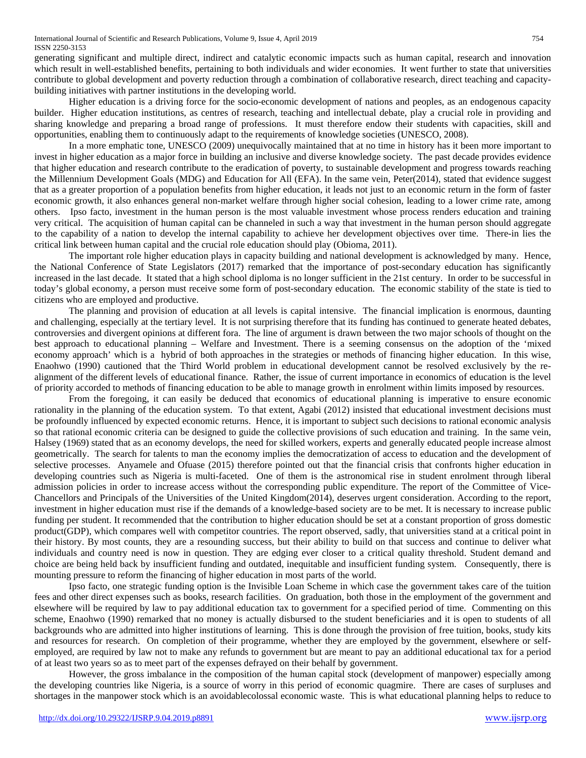generating significant and multiple direct, indirect and catalytic economic impacts such as human capital, research and innovation which result in well-established benefits, pertaining to both individuals and wider economies. It went further to state that universities contribute to global development and poverty reduction through a combination of collaborative research, direct teaching and capacitybuilding initiatives with partner institutions in the developing world.

Higher education is a driving force for the socio-economic development of nations and peoples, as an endogenous capacity builder. Higher education institutions, as centres of research, teaching and intellectual debate, play a crucial role in providing and sharing knowledge and preparing a broad range of professions. It must therefore endow their students with capacities, skill and opportunities, enabling them to continuously adapt to the requirements of knowledge societies (UNESCO, 2008).

In a more emphatic tone, UNESCO (2009) unequivocally maintained that at no time in history has it been more important to invest in higher education as a major force in building an inclusive and diverse knowledge society. The past decade provides evidence that higher education and research contribute to the eradication of poverty, to sustainable development and progress towards reaching the Millennium Development Goals (MDG) and Education for All (EFA). In the same vein, Peter(2014), stated that evidence suggest that as a greater proportion of a population benefits from higher education, it leads not just to an economic return in the form of faster economic growth, it also enhances general non-market welfare through higher social cohesion, leading to a lower crime rate, among others. Ipso facto, investment in the human person is the most valuable investment whose process renders education and training very critical. The acquisition of human capital can be channeled in such a way that investment in the human person should aggregate to the capability of a nation to develop the internal capability to achieve her development objectives over time. There-in lies the critical link between human capital and the crucial role education should play (Obioma, 2011).

The important role higher education plays in capacity building and national development is acknowledged by many. Hence, the National Conference of State Legislators (2017) remarked that the importance of post-secondary education has significantly increased in the last decade. It stated that a high school diploma is no longer sufficient in the 21st century. In order to be successful in today's global economy, a person must receive some form of post-secondary education. The economic stability of the state is tied to citizens who are employed and productive.

The planning and provision of education at all levels is capital intensive. The financial implication is enormous, daunting and challenging, especially at the tertiary level. It is not surprising therefore that its funding has continued to generate heated debates, controversies and divergent opinions at different fora. The line of argument is drawn between the two major schools of thought on the best approach to educational planning – Welfare and Investment. There is a seeming consensus on the adoption of the 'mixed economy approach' which is a hybrid of both approaches in the strategies or methods of financing higher education. In this wise, Enaohwo (1990) cautioned that the Third World problem in educational development cannot be resolved exclusively by the realignment of the different levels of educational finance. Rather, the issue of current importance in economics of education is the level of priority accorded to methods of financing education to be able to manage growth in enrolment within limits imposed by resources.

From the foregoing, it can easily be deduced that economics of educational planning is imperative to ensure economic rationality in the planning of the education system. To that extent, Agabi (2012) insisted that educational investment decisions must be profoundly influenced by expected economic returns. Hence, it is important to subject such decisions to rational economic analysis so that rational economic criteria can be designed to guide the collective provisions of such education and training. In the same vein, Halsey (1969) stated that as an economy develops, the need for skilled workers, experts and generally educated people increase almost geometrically. The search for talents to man the economy implies the democratization of access to education and the development of selective processes. Anyamele and Ofuase (2015) therefore pointed out that the financial crisis that confronts higher education in developing countries such as Nigeria is multi-faceted. One of them is the astronomical rise in student enrolment through liberal admission policies in order to increase access without the corresponding public expenditure. The report of the Committee of Vice-Chancellors and Principals of the Universities of the United Kingdom(2014), deserves urgent consideration. According to the report, investment in higher education must rise if the demands of a knowledge-based society are to be met. It is necessary to increase public funding per student. It recommended that the contribution to higher education should be set at a constant proportion of gross domestic product(GDP), which compares well with competitor countries. The report observed, sadly, that universities stand at a critical point in their history. By most counts, they are a resounding success, but their ability to build on that success and continue to deliver what individuals and country need is now in question. They are edging ever closer to a critical quality threshold. Student demand and choice are being held back by insufficient funding and outdated, inequitable and insufficient funding system. Consequently, there is mounting pressure to reform the financing of higher education in most parts of the world.

Ipso facto, one strategic funding option is the Invisible Loan Scheme in which case the government takes care of the tuition fees and other direct expenses such as books, research facilities. On graduation, both those in the employment of the government and elsewhere will be required by law to pay additional education tax to government for a specified period of time. Commenting on this scheme, Enaohwo (1990) remarked that no money is actually disbursed to the student beneficiaries and it is open to students of all backgrounds who are admitted into higher institutions of learning. This is done through the provision of free tuition, books, study kits and resources for research. On completion of their programme, whether they are employed by the government, elsewhere or selfemployed, are required by law not to make any refunds to government but are meant to pay an additional educational tax for a period of at least two years so as to meet part of the expenses defrayed on their behalf by government.

However, the gross imbalance in the composition of the human capital stock (development of manpower) especially among the developing countries like Nigeria, is a source of worry in this period of economic quagmire. There are cases of surpluses and shortages in the manpower stock which is an avoidablecolossal economic waste. This is what educational planning helps to reduce to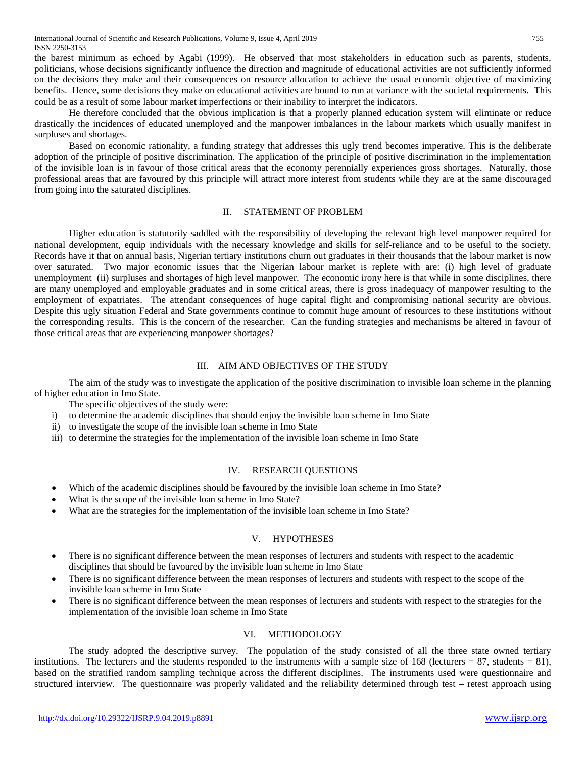the barest minimum as echoed by Agabi (1999). He observed that most stakeholders in education such as parents, students, politicians, whose decisions significantly influence the direction and magnitude of educational activities are not sufficiently informed on the decisions they make and their consequences on resource allocation to achieve the usual economic objective of maximizing benefits. Hence, some decisions they make on educational activities are bound to run at variance with the societal requirements. This could be as a result of some labour market imperfections or their inability to interpret the indicators.

He therefore concluded that the obvious implication is that a properly planned education system will eliminate or reduce drastically the incidences of educated unemployed and the manpower imbalances in the labour markets which usually manifest in surpluses and shortages.

Based on economic rationality, a funding strategy that addresses this ugly trend becomes imperative. This is the deliberate adoption of the principle of positive discrimination. The application of the principle of positive discrimination in the implementation of the invisible loan is in favour of those critical areas that the economy perennially experiences gross shortages. Naturally, those professional areas that are favoured by this principle will attract more interest from students while they are at the same discouraged from going into the saturated disciplines.

#### II. STATEMENT OF PROBLEM

Higher education is statutorily saddled with the responsibility of developing the relevant high level manpower required for national development, equip individuals with the necessary knowledge and skills for self-reliance and to be useful to the society. Records have it that on annual basis, Nigerian tertiary institutions churn out graduates in their thousands that the labour market is now over saturated. Two major economic issues that the Nigerian labour market is replete with are: (i) high level of graduate unemployment (ii) surpluses and shortages of high level manpower. The economic irony here is that while in some disciplines, there are many unemployed and employable graduates and in some critical areas, there is gross inadequacy of manpower resulting to the employment of expatriates. The attendant consequences of huge capital flight and compromising national security are obvious. Despite this ugly situation Federal and State governments continue to commit huge amount of resources to these institutions without the corresponding results. This is the concern of the researcher. Can the funding strategies and mechanisms be altered in favour of those critical areas that are experiencing manpower shortages?

#### III. AIM AND OBJECTIVES OF THE STUDY

The aim of the study was to investigate the application of the positive discrimination to invisible loan scheme in the planning of higher education in Imo State.

- The specific objectives of the study were:
- i) to determine the academic disciplines that should enjoy the invisible loan scheme in Imo State
- ii) to investigate the scope of the invisible loan scheme in Imo State
- iii) to determine the strategies for the implementation of the invisible loan scheme in Imo State

#### IV. RESEARCH QUESTIONS

- Which of the academic disciplines should be favoured by the invisible loan scheme in Imo State?
- What is the scope of the invisible loan scheme in Imo State?
- What are the strategies for the implementation of the invisible loan scheme in Imo State?

## V. HYPOTHESES

- There is no significant difference between the mean responses of lecturers and students with respect to the academic disciplines that should be favoured by the invisible loan scheme in Imo State
- There is no significant difference between the mean responses of lecturers and students with respect to the scope of the invisible loan scheme in Imo State
- There is no significant difference between the mean responses of lecturers and students with respect to the strategies for the implementation of the invisible loan scheme in Imo State

## VI. METHODOLOGY

The study adopted the descriptive survey. The population of the study consisted of all the three state owned tertiary institutions. The lecturers and the students responded to the instruments with a sample size of 168 (lecturers  $= 87$ , students  $= 81$ ), based on the stratified random sampling technique across the different disciplines. The instruments used were questionnaire and structured interview. The questionnaire was properly validated and the reliability determined through test – retest approach using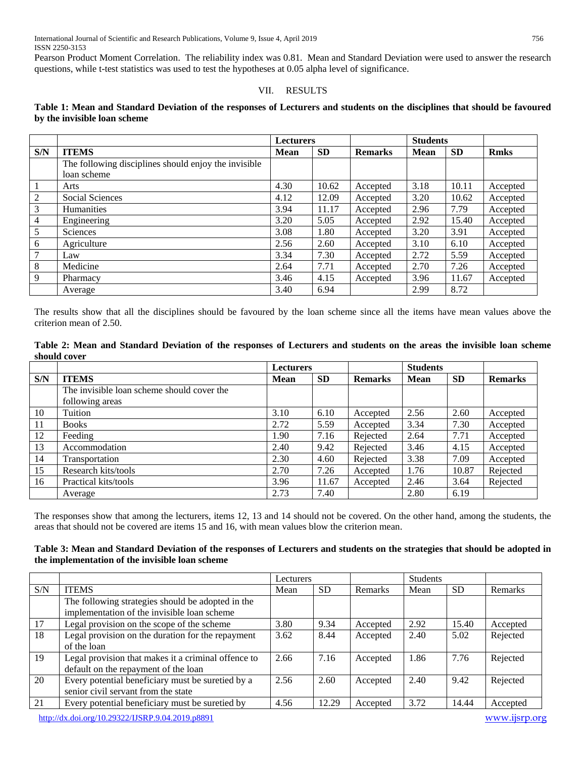Pearson Product Moment Correlation. The reliability index was 0.81. Mean and Standard Deviation were used to answer the research questions, while t-test statistics was used to test the hypotheses at 0.05 alpha level of significance.

### VII. RESULTS

### **Table 1: Mean and Standard Deviation of the responses of Lecturers and students on the disciplines that should be favoured by the invisible loan scheme**

|     |                                                      | <b>Lecturers</b> |           |                | <b>Students</b> |           |             |  |
|-----|------------------------------------------------------|------------------|-----------|----------------|-----------------|-----------|-------------|--|
| S/N | <b>ITEMS</b>                                         | <b>Mean</b>      | <b>SD</b> | <b>Remarks</b> | <b>Mean</b>     | <b>SD</b> | <b>Rmks</b> |  |
|     | The following disciplines should enjoy the invisible |                  |           |                |                 |           |             |  |
|     | loan scheme                                          |                  |           |                |                 |           |             |  |
|     | Arts                                                 | 4.30             | 10.62     | Accepted       | 3.18            | 10.11     | Accepted    |  |
| 2   | <b>Social Sciences</b>                               | 4.12             | 12.09     | Accepted       | 3.20            | 10.62     | Accepted    |  |
| 3   | <b>Humanities</b>                                    | 3.94             | 11.17     | Accepted       | 2.96            | 7.79      | Accepted    |  |
| 4   | Engineering                                          | 3.20             | 5.05      | Accepted       | 2.92            | 15.40     | Accepted    |  |
| 5   | Sciences                                             | 3.08             | 1.80      | Accepted       | 3.20            | 3.91      | Accepted    |  |
| 6   | Agriculture                                          | 2.56             | 2.60      | Accepted       | 3.10            | 6.10      | Accepted    |  |
| 7   | Law                                                  | 3.34             | 7.30      | Accepted       | 2.72            | 5.59      | Accepted    |  |
| 8   | Medicine                                             | 2.64             | 7.71      | Accepted       | 2.70            | 7.26      | Accepted    |  |
| 9   | Pharmacy                                             | 3.46             | 4.15      | Accepted       | 3.96            | 11.67     | Accepted    |  |
|     | Average                                              | 3.40             | 6.94      |                | 2.99            | 8.72      |             |  |

The results show that all the disciplines should be favoured by the loan scheme since all the items have mean values above the criterion mean of 2.50.

| Table 2: Mean and Standard Deviation of the responses of Lecturers and students on the areas the invisible loan scheme |  |  |  |  |  |  |  |  |
|------------------------------------------------------------------------------------------------------------------------|--|--|--|--|--|--|--|--|
| should cover                                                                                                           |  |  |  |  |  |  |  |  |

|     |                                            | <b>Lecturers</b> |           |                | <b>Students</b> |           |                |
|-----|--------------------------------------------|------------------|-----------|----------------|-----------------|-----------|----------------|
| S/N | <b>ITEMS</b>                               | <b>Mean</b>      | <b>SD</b> | <b>Remarks</b> | <b>Mean</b>     | <b>SD</b> | <b>Remarks</b> |
|     | The invisible loan scheme should cover the |                  |           |                |                 |           |                |
|     | following areas                            |                  |           |                |                 |           |                |
| 10  | Tuition                                    | 3.10             | 6.10      | Accepted       | 2.56            | 2.60      | Accepted       |
| 11  | <b>Books</b>                               | 2.72             | 5.59      | Accepted       | 3.34            | 7.30      | Accepted       |
| 12  | Feeding                                    | 1.90             | 7.16      | Rejected       | 2.64            | 7.71      | Accepted       |
| 13  | Accommodation                              | 2.40             | 9.42      | Rejected       | 3.46            | 4.15      | Accepted       |
| 14  | Transportation                             | 2.30             | 4.60      | Rejected       | 3.38            | 7.09      | Accepted       |
| 15  | Research kits/tools                        | 2.70             | 7.26      | Accepted       | 1.76            | 10.87     | Rejected       |
| 16  | Practical kits/tools                       | 3.96             | 11.67     | Accepted       | 2.46            | 3.64      | Rejected       |
|     | Average                                    | 2.73             | 7.40      |                | 2.80            | 6.19      |                |

The responses show that among the lecturers, items 12, 13 and 14 should not be covered. On the other hand, among the students, the areas that should not be covered are items 15 and 16, with mean values blow the criterion mean.

## **Table 3: Mean and Standard Deviation of the responses of Lecturers and students on the strategies that should be adopted in the implementation of the invisible loan scheme**

|     |                                                                                             | Lecturers |           | <b>Students</b> |      |           |          |
|-----|---------------------------------------------------------------------------------------------|-----------|-----------|-----------------|------|-----------|----------|
| S/N | <b>ITEMS</b>                                                                                | Mean      | <b>SD</b> | Remarks         | Mean | <b>SD</b> | Remarks  |
|     | The following strategies should be adopted in the                                           |           |           |                 |      |           |          |
|     | implementation of the invisible loan scheme                                                 |           |           |                 |      |           |          |
| 17  | Legal provision on the scope of the scheme                                                  | 3.80      | 9.34      | Accepted        | 2.92 | 15.40     | Accepted |
| 18  | Legal provision on the duration for the repayment<br>of the loan                            | 3.62      | 8.44      | Accepted        | 2.40 | 5.02      | Rejected |
| 19  | Legal provision that makes it a criminal offence to<br>default on the repayment of the loan | 2.66      | 7.16      | Accepted        | 1.86 | 7.76      | Rejected |
| 20  | Every potential beneficiary must be suretied by a<br>senior civil servant from the state    | 2.56      | 2.60      | Accepted        | 2.40 | 9.42      | Rejected |
| 21  | Every potential beneficiary must be suretied by                                             | 4.56      | 12.29     | Accepted        | 3.72 | 14.44     | Accepted |

[http://dx.doi.org/10.29322/IJSRP.9.04.2019.p8891](http://dx.doi.org/10.29322/IJSRP.9.03.2019.p8891) [www.ijsrp.org](http://ijsrp.org/)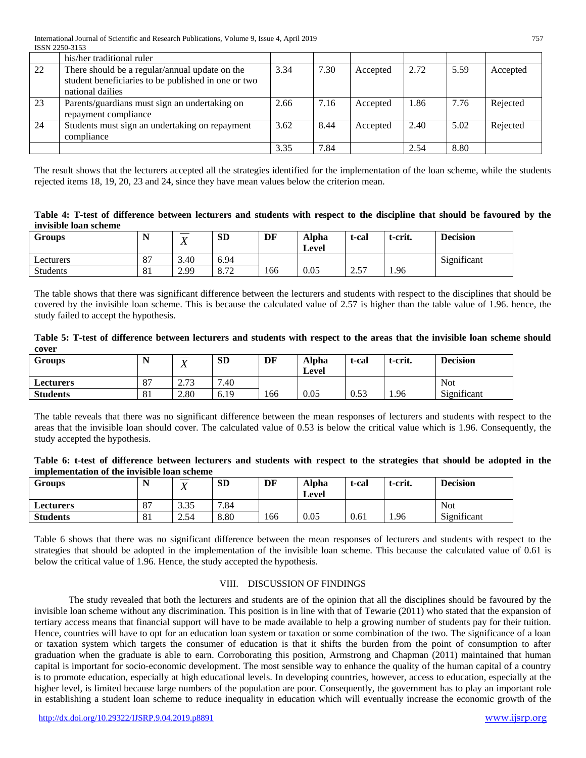|    | his/her traditional ruler                           |      |      |          |      |      |          |
|----|-----------------------------------------------------|------|------|----------|------|------|----------|
| 22 | There should be a regular/annual update on the      | 3.34 | 7.30 | Accepted | 2.72 | 5.59 | Accepted |
|    | student beneficiaries to be published in one or two |      |      |          |      |      |          |
|    | national dailies                                    |      |      |          |      |      |          |
| 23 | Parents/guardians must sign an undertaking on       | 2.66 | 7.16 | Accepted | 1.86 | 7.76 | Rejected |
|    | repayment compliance                                |      |      |          |      |      |          |
| 24 | Students must sign an undertaking on repayment      | 3.62 | 8.44 | Accepted | 2.40 | 5.02 | Rejected |
|    | compliance                                          |      |      |          |      |      |          |
|    |                                                     | 3.35 | 7.84 |          | 2.54 | 8.80 |          |

The result shows that the lecturers accepted all the strategies identified for the implementation of the loan scheme, while the students rejected items 18, 19, 20, 23 and 24, since they have mean values below the criterion mean.

**Table 4: T-test of difference between lecturers and students with respect to the discipline that should be favoured by the invisible loan scheme**

| <b>Groups</b>   | . . | --<br>$\mathbf{v}$ | SD             | DF  | <b>Alpha</b><br>Level | t-cal      | t-crit. | <b>Decision</b> |
|-----------------|-----|--------------------|----------------|-----|-----------------------|------------|---------|-----------------|
| Lecturers       | 87  | 3.40               | 6.94           |     |                       |            |         | Significant     |
| <b>Students</b> | 81  | 2.99               | 0.72<br>0. I 2 | 166 | 0.05                  | -57<br>ا ت | 1.96    |                 |

The table shows that there was significant difference between the lecturers and students with respect to the disciplines that should be covered by the invisible loan scheme. This is because the calculated value of 2.57 is higher than the table value of 1.96. hence, the study failed to accept the hypothesis.

|       | Table 5: T-test of difference between lecturers and students with respect to the areas that the invisible loan scheme should |  |  |  |  |  |  |  |  |
|-------|------------------------------------------------------------------------------------------------------------------------------|--|--|--|--|--|--|--|--|
| cover |                                                                                                                              |  |  |  |  |  |  |  |  |

| Groups           |                      | _____<br>$\mathbf{v}$<br>$\Lambda$ | <b>SD</b> | DF  | Alpha<br>Level | t-cal | t-crit. | <b>Decision</b> |
|------------------|----------------------|------------------------------------|-----------|-----|----------------|-------|---------|-----------------|
| <b>Lecturers</b> | O <sub>7</sub><br>ŌΙ | 272<br>2.13                        | 7.40      |     |                |       |         | <b>Not</b>      |
| <b>Students</b>  | O <sub>1</sub><br>ΟI | 2.80                               | 6.19      | 166 | 0.05           | 0.53  | 1.96    | Significant     |

The table reveals that there was no significant difference between the mean responses of lecturers and students with respect to the areas that the invisible loan should cover. The calculated value of 0.53 is below the critical value which is 1.96. Consequently, the study accepted the hypothesis.

| Table 6: t-test of difference between lecturers and students with respect to the strategies that should be adopted in the |  |  |  |  |  |  |  |  |
|---------------------------------------------------------------------------------------------------------------------------|--|--|--|--|--|--|--|--|
| implementation of the invisible loan scheme                                                                               |  |  |  |  |  |  |  |  |

| <b>Groups</b>   | $\overline{\phantom{a}}$<br><b>SD</b><br>$\mathbf{r}$<br><b>T</b><br>$\Lambda$ |      |      | DF  | <b>Alpha</b><br>Level | t-cal | t-crit. | <b>Decision</b> |
|-----------------|--------------------------------------------------------------------------------|------|------|-----|-----------------------|-------|---------|-----------------|
| Lecturers       | 87                                                                             | 3.35 | 7.84 |     |                       |       |         | <b>Not</b>      |
| <b>Students</b> | 81                                                                             | 2.54 | 8.80 | 166 | 0.05                  | 0.61  | 1.96    | Significant     |

Table 6 shows that there was no significant difference between the mean responses of lecturers and students with respect to the strategies that should be adopted in the implementation of the invisible loan scheme. This because the calculated value of 0.61 is below the critical value of 1.96. Hence, the study accepted the hypothesis.

## VIII. DISCUSSION OF FINDINGS

The study revealed that both the lecturers and students are of the opinion that all the disciplines should be favoured by the invisible loan scheme without any discrimination. This position is in line with that of Tewarie (2011) who stated that the expansion of tertiary access means that financial support will have to be made available to help a growing number of students pay for their tuition. Hence, countries will have to opt for an education loan system or taxation or some combination of the two. The significance of a loan or taxation system which targets the consumer of education is that it shifts the burden from the point of consumption to after graduation when the graduate is able to earn. Corroborating this position, Armstrong and Chapman (2011) maintained that human capital is important for socio-economic development. The most sensible way to enhance the quality of the human capital of a country is to promote education, especially at high educational levels. In developing countries, however, access to education, especially at the higher level, is limited because large numbers of the population are poor. Consequently, the government has to play an important role in establishing a student loan scheme to reduce inequality in education which will eventually increase the economic growth of the